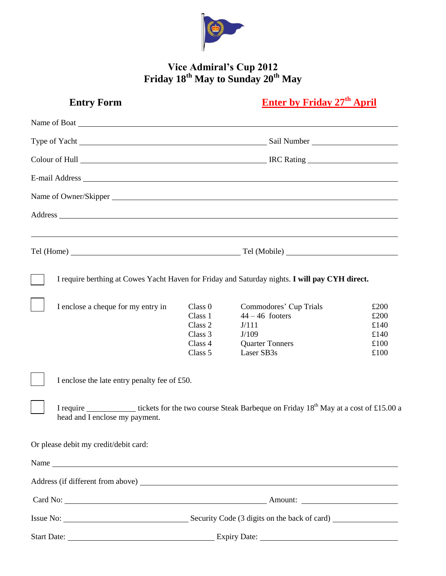

## **Vice Admiral's Cup 2012 Friday 18th May to Sunday 20th May**

| <b>Entry Form</b>                                                                                                                                                                                                              |                                                     | <b>Enter by Friday 27th April</b>                                                                                                                                                         |                                      |
|--------------------------------------------------------------------------------------------------------------------------------------------------------------------------------------------------------------------------------|-----------------------------------------------------|-------------------------------------------------------------------------------------------------------------------------------------------------------------------------------------------|--------------------------------------|
| Name of Boat League and Secretary and Secretary and Secretary and Secretary and Secretary and Secretary and Secretary and Secretary and Secretary and Secretary and Secretary and Secretary and Secretary and Secretary and Se |                                                     |                                                                                                                                                                                           |                                      |
|                                                                                                                                                                                                                                |                                                     |                                                                                                                                                                                           |                                      |
|                                                                                                                                                                                                                                |                                                     |                                                                                                                                                                                           |                                      |
| E-mail Address Legal and Address Legal and Address Legal and Address Legal and Address Legal and Address Legal and Address Legal and Address Legal and Address Legal and Address Legal and Address Legal and Address Legal and |                                                     |                                                                                                                                                                                           |                                      |
|                                                                                                                                                                                                                                |                                                     |                                                                                                                                                                                           |                                      |
| Address expression and the contract of the contract of the contract of the contract of the contract of the contract of the contract of the contract of the contract of the contract of the contract of the contract of the con |                                                     |                                                                                                                                                                                           |                                      |
| ,我们也不会有什么。""我们的人,我们也不会有什么?""我们的人,我们也不会有什么?""我们的人,我们也不会有什么?""我们的人,我们也不会有什么?""我们的人                                                                                                                                               |                                                     |                                                                                                                                                                                           |                                      |
|                                                                                                                                                                                                                                |                                                     |                                                                                                                                                                                           |                                      |
| I enclose a cheque for my entry in                                                                                                                                                                                             | Class 0<br>Class 1<br>Class 2<br>Class 3<br>Class 4 | I require berthing at Cowes Yacht Haven for Friday and Saturday nights. I will pay CYH direct.<br>Commodores' Cup Trials<br>$44 - 46$ footers<br>J/111<br>J/109<br><b>Quarter Tonners</b> | £200<br>£200<br>£140<br>£140<br>£100 |
|                                                                                                                                                                                                                                | Class 5                                             | Laser SB3s                                                                                                                                                                                | £100                                 |
| I enclose the late entry penalty fee of £50.                                                                                                                                                                                   |                                                     |                                                                                                                                                                                           |                                      |
| head and I enclose my payment.                                                                                                                                                                                                 |                                                     | I require _______________ tickets for the two course Steak Barbeque on Friday 18 <sup>th</sup> May at a cost of £15.00 a                                                                  |                                      |
| Or please debit my credit/debit card:                                                                                                                                                                                          |                                                     |                                                                                                                                                                                           |                                      |
|                                                                                                                                                                                                                                |                                                     |                                                                                                                                                                                           |                                      |
|                                                                                                                                                                                                                                |                                                     |                                                                                                                                                                                           |                                      |
|                                                                                                                                                                                                                                |                                                     |                                                                                                                                                                                           |                                      |
|                                                                                                                                                                                                                                |                                                     |                                                                                                                                                                                           |                                      |
|                                                                                                                                                                                                                                | Start Date: <u>Expiry Date:</u>                     |                                                                                                                                                                                           |                                      |